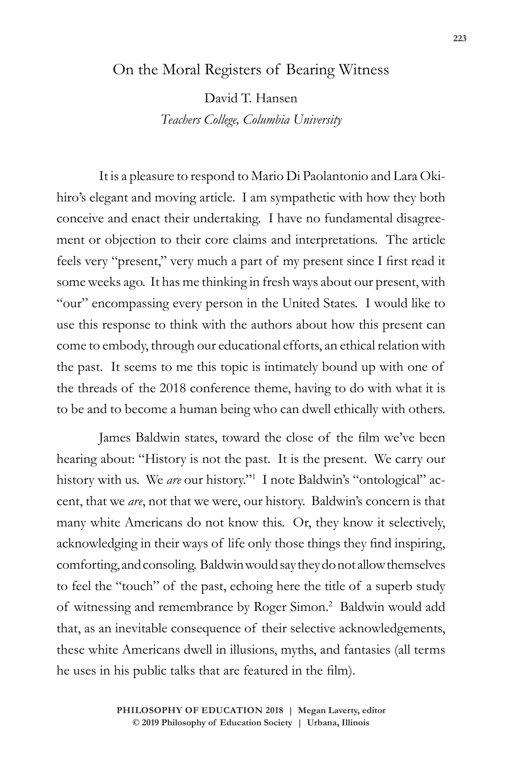## On the Moral Registers of Bearing Witness

David T. Hansen *Teachers College, Columbia University*

It is a pleasure to respond to Mario Di Paolantonio and Lara Okihiro's elegant and moving article. I am sympathetic with how they both conceive and enact their undertaking. I have no fundamental disagreement or objection to their core claims and interpretations. The article feels very "present," very much a part of my present since I first read it some weeks ago. It has me thinking in fresh ways about our present, with "our" encompassing every person in the United States. I would like to use this response to think with the authors about how this present can come to embody, through our educational efforts, an ethical relation with the past. It seems to me this topic is intimately bound up with one of the threads of the 2018 conference theme, having to do with what it is to be and to become a human being who can dwell ethically with others.

James Baldwin states, toward the close of the film we've been hearing about: "History is not the past. It is the present. We carry our history with us. We *are* our history."1 I note Baldwin's "ontological" accent, that we *are*, not that we were, our history. Baldwin's concern is that many white Americans do not know this. Or, they know it selectively, acknowledging in their ways of life only those things they find inspiring, comforting, and consoling. Baldwin would say they do not allow themselves to feel the "touch" of the past, echoing here the title of a superb study of witnessing and remembrance by Roger Simon.<sup>2</sup> Baldwin would add that, as an inevitable consequence of their selective acknowledgements, these white Americans dwell in illusions, myths, and fantasies (all terms he uses in his public talks that are featured in the film).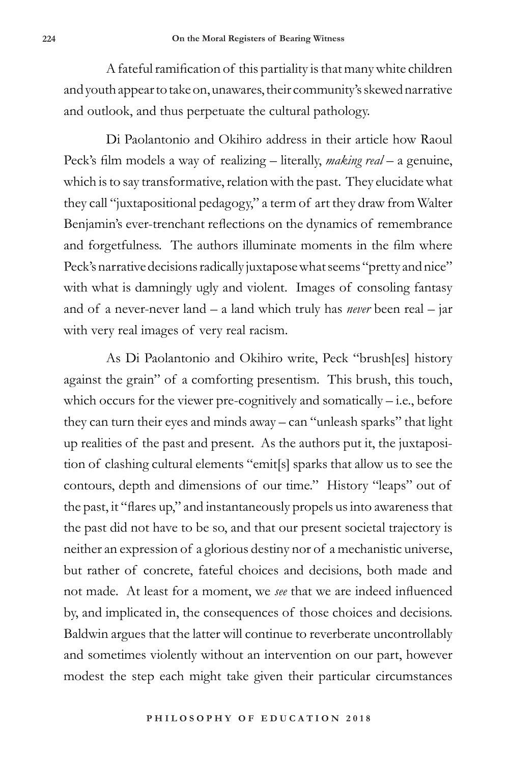A fateful ramification of this partiality is that many white children and youth appear to take on, unawares, their community's skewed narrative and outlook, and thus perpetuate the cultural pathology.

Di Paolantonio and Okihiro address in their article how Raoul Peck's film models a way of realizing – literally, *making real* – a genuine, which is to say transformative, relation with the past. They elucidate what they call "juxtapositional pedagogy," a term of art they draw from Walter Benjamin's ever-trenchant reflections on the dynamics of remembrance and forgetfulness. The authors illuminate moments in the film where Peck's narrative decisions radically juxtapose what seems "pretty and nice" with what is damningly ugly and violent. Images of consoling fantasy and of a never-never land – a land which truly has *never* been real – jar with very real images of very real racism.

As Di Paolantonio and Okihiro write, Peck "brush[es] history against the grain" of a comforting presentism. This brush, this touch, which occurs for the viewer pre-cognitively and somatically  $-$  i.e., before they can turn their eyes and minds away – can "unleash sparks" that light up realities of the past and present. As the authors put it, the juxtaposition of clashing cultural elements "emit[s] sparks that allow us to see the contours, depth and dimensions of our time." History "leaps" out of the past, it "flares up," and instantaneously propels us into awareness that the past did not have to be so, and that our present societal trajectory is neither an expression of a glorious destiny nor of a mechanistic universe, but rather of concrete, fateful choices and decisions, both made and not made. At least for a moment, we *see* that we are indeed influenced by, and implicated in, the consequences of those choices and decisions. Baldwin argues that the latter will continue to reverberate uncontrollably and sometimes violently without an intervention on our part, however modest the step each might take given their particular circumstances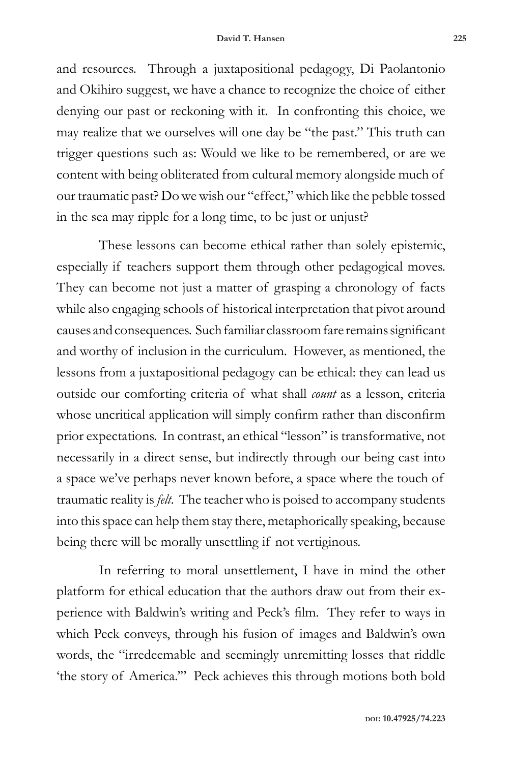and resources. Through a juxtapositional pedagogy, Di Paolantonio and Okihiro suggest, we have a chance to recognize the choice of either denying our past or reckoning with it. In confronting this choice, we may realize that we ourselves will one day be "the past." This truth can trigger questions such as: Would we like to be remembered, or are we content with being obliterated from cultural memory alongside much of our traumatic past? Do we wish our "effect," which like the pebble tossed in the sea may ripple for a long time, to be just or unjust?

These lessons can become ethical rather than solely epistemic, especially if teachers support them through other pedagogical moves. They can become not just a matter of grasping a chronology of facts while also engaging schools of historical interpretation that pivot around causes and consequences. Such familiar classroom fare remains significant and worthy of inclusion in the curriculum. However, as mentioned, the lessons from a juxtapositional pedagogy can be ethical: they can lead us outside our comforting criteria of what shall *count* as a lesson, criteria whose uncritical application will simply confirm rather than disconfirm prior expectations. In contrast, an ethical "lesson" is transformative, not necessarily in a direct sense, but indirectly through our being cast into a space we've perhaps never known before, a space where the touch of traumatic reality is *felt*. The teacher who is poised to accompany students into this space can help them stay there, metaphorically speaking, because being there will be morally unsettling if not vertiginous.

In referring to moral unsettlement, I have in mind the other platform for ethical education that the authors draw out from their experience with Baldwin's writing and Peck's film. They refer to ways in which Peck conveys, through his fusion of images and Baldwin's own words, the "irredeemable and seemingly unremitting losses that riddle 'the story of America.'" Peck achieves this through motions both bold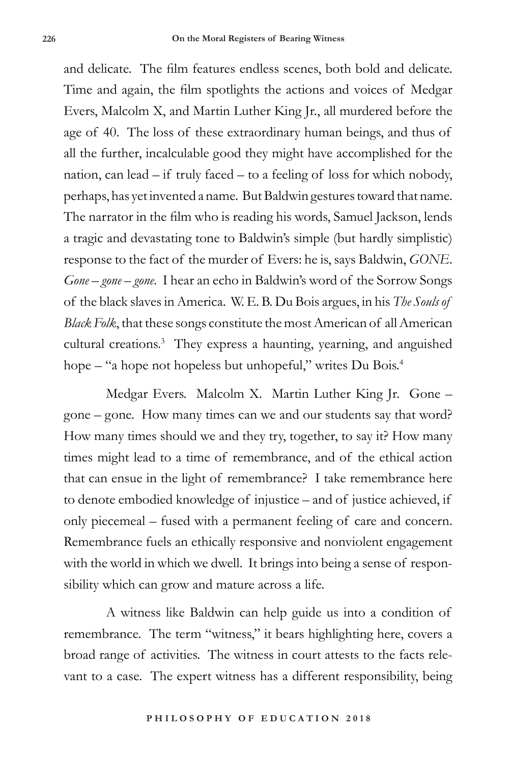and delicate. The film features endless scenes, both bold and delicate. Time and again, the film spotlights the actions and voices of Medgar Evers, Malcolm X, and Martin Luther King Jr., all murdered before the age of 40. The loss of these extraordinary human beings, and thus of all the further, incalculable good they might have accomplished for the nation, can lead – if truly faced – to a feeling of loss for which nobody, perhaps, has yet invented a name. But Baldwin gestures toward that name. The narrator in the film who is reading his words, Samuel Jackson, lends a tragic and devastating tone to Baldwin's simple (but hardly simplistic) response to the fact of the murder of Evers: he is, says Baldwin, *GONE*. *Gone – gone – gone*. I hear an echo in Baldwin's word of the Sorrow Songs of the black slaves in America. W. E. B. Du Bois argues, in his *The Souls of Black Folk*, that these songs constitute the most American of all American cultural creations.<sup>3</sup> They express a haunting, yearning, and anguished hope – "a hope not hopeless but unhopeful," writes Du Bois.<sup>4</sup>

Medgar Evers. Malcolm X. Martin Luther King Jr. Gone – gone – gone. How many times can we and our students say that word? How many times should we and they try, together, to say it? How many times might lead to a time of remembrance, and of the ethical action that can ensue in the light of remembrance? I take remembrance here to denote embodied knowledge of injustice – and of justice achieved, if only piecemeal – fused with a permanent feeling of care and concern. Remembrance fuels an ethically responsive and nonviolent engagement with the world in which we dwell. It brings into being a sense of responsibility which can grow and mature across a life.

A witness like Baldwin can help guide us into a condition of remembrance. The term "witness," it bears highlighting here, covers a broad range of activities. The witness in court attests to the facts relevant to a case. The expert witness has a different responsibility, being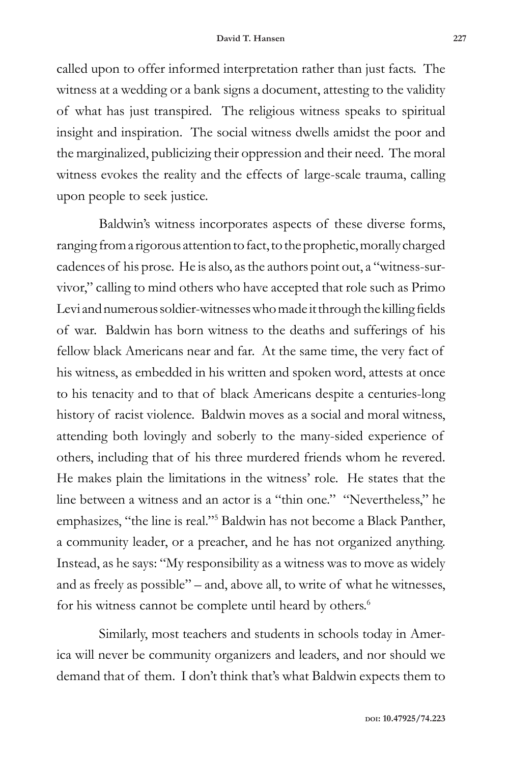called upon to offer informed interpretation rather than just facts. The witness at a wedding or a bank signs a document, attesting to the validity of what has just transpired. The religious witness speaks to spiritual insight and inspiration. The social witness dwells amidst the poor and the marginalized, publicizing their oppression and their need. The moral witness evokes the reality and the effects of large-scale trauma, calling upon people to seek justice.

Baldwin's witness incorporates aspects of these diverse forms, ranging from a rigorous attention to fact, to the prophetic, morally charged cadences of his prose. He is also, as the authors point out, a "witness-survivor," calling to mind others who have accepted that role such as Primo Levi and numerous soldier-witnesses who made it through the killing fields of war. Baldwin has born witness to the deaths and sufferings of his fellow black Americans near and far. At the same time, the very fact of his witness, as embedded in his written and spoken word, attests at once to his tenacity and to that of black Americans despite a centuries-long history of racist violence. Baldwin moves as a social and moral witness, attending both lovingly and soberly to the many-sided experience of others, including that of his three murdered friends whom he revered. He makes plain the limitations in the witness' role. He states that the line between a witness and an actor is a "thin one." "Nevertheless," he emphasizes, "the line is real."<sup>5</sup> Baldwin has not become a Black Panther, a community leader, or a preacher, and he has not organized anything. Instead, as he says: "My responsibility as a witness was to move as widely and as freely as possible" – and, above all, to write of what he witnesses, for his witness cannot be complete until heard by others.<sup>6</sup>

Similarly, most teachers and students in schools today in America will never be community organizers and leaders, and nor should we demand that of them. I don't think that's what Baldwin expects them to